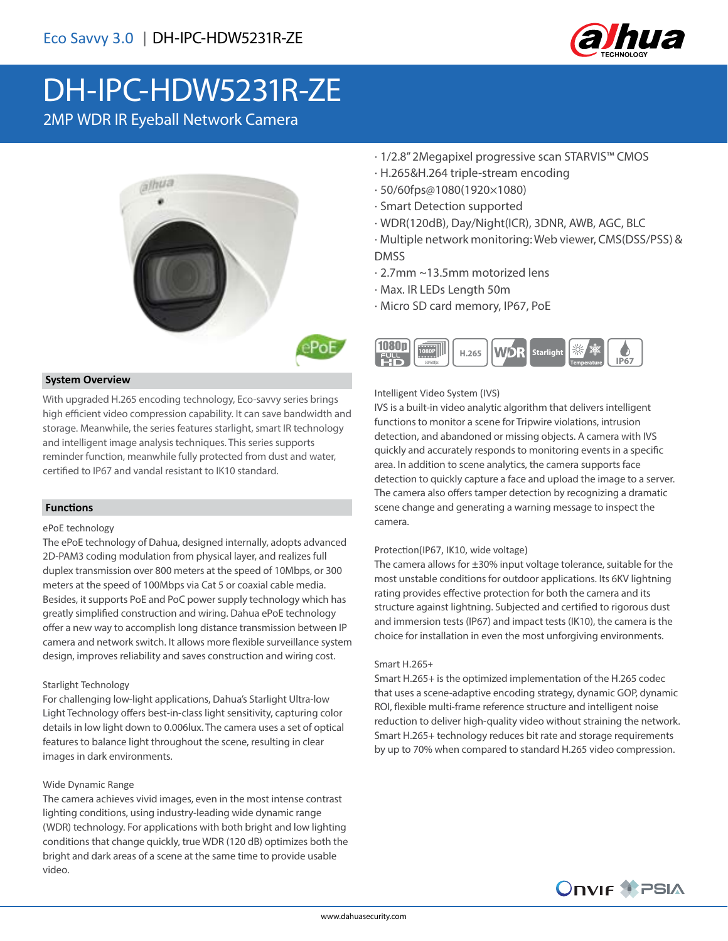

# DH-IPC-HDW5231R-ZE

2MP WDR IR Eyeball Network Camera



#### **System Overview**

With upgraded H.265 encoding technology, Eco-savvy series brings high efficient video compression capability. It can save bandwidth and storage. Meanwhile, the series features starlight, smart IR technology and intelligent image analysis techniques. This series supports reminder function, meanwhile fully protected from dust and water, certified to IP67 and vandal resistant to IK10 standard.

#### **Functions**

#### ePoE technology

The ePoE technology of Dahua, designed internally, adopts advanced 2D-PAM3 coding modulation from physical layer, and realizes full duplex transmission over 800 meters at the speed of 10Mbps, or 300 meters at the speed of 100Mbps via Cat 5 or coaxial cable media. Besides, it supports PoE and PoC power supply technology which has greatly simplified construction and wiring. Dahua ePoE technology offer a new way to accomplish long distance transmission between IP camera and network switch. It allows more flexible surveillance system design, improves reliability and saves construction and wiring cost.

#### Starlight Technology

For challenging low-light applications, Dahua's Starlight Ultra-low Light Technology offers best-in-class light sensitivity, capturing color details in low light down to 0.006lux. The camera uses a set of optical features to balance light throughout the scene, resulting in clear images in dark environments.

#### Wide Dynamic Range

The camera achieves vivid images, even in the most intense contrast lighting conditions, using industry-leading wide dynamic range (WDR) technology. For applications with both bright and low lighting conditions that change quickly, true WDR (120 dB) optimizes both the bright and dark areas of a scene at the same time to provide usable video.

- · 1/2.8" 2Megapixel progressive scan STARVIS™ CMOS
- · H.265&H.264 triple-stream encoding
- · 50/60fps@1080(1920×1080)
- · Smart Detection supported
- · WDR(120dB), Day/Night(ICR), 3DNR, AWB, AGC, BLC
- · Multiple network monitoring: Web viewer, CMS(DSS/PSS) & DMSS
- · 2.7mm ~13.5mm motorized lens
- · Max. IR LEDs Length 50m
- · Micro SD card memory, IP67, PoE



#### Intelligent Video System (IVS)

IVS is a built-in video analytic algorithm that delivers intelligent functions to monitor a scene for Tripwire violations, intrusion detection, and abandoned or missing objects. A camera with IVS quickly and accurately responds to monitoring events in a specific area. In addition to scene analytics, the camera supports face detection to quickly capture a face and upload the image to a server. The camera also offers tamper detection by recognizing a dramatic scene change and generating a warning message to inspect the camera.

#### Protection(IP67, IK10, wide voltage)

The camera allows for  $\pm 30\%$  input voltage tolerance, suitable for the most unstable conditions for outdoor applications. Its 6KV lightning rating provides effective protection for both the camera and its structure against lightning. Subjected and certified to rigorous dust and immersion tests (IP67) and impact tests (IK10), the camera is the choice for installation in even the most unforgiving environments.

#### Smart H.265+

Smart H.265+ is the optimized implementation of the H.265 codec that uses a scene-adaptive encoding strategy, dynamic GOP, dynamic ROI, flexible multi-frame reference structure and intelligent noise reduction to deliver high-quality video without straining the network. Smart H.265+ technology reduces bit rate and storage requirements by up to 70% when compared to standard H.265 video compression.

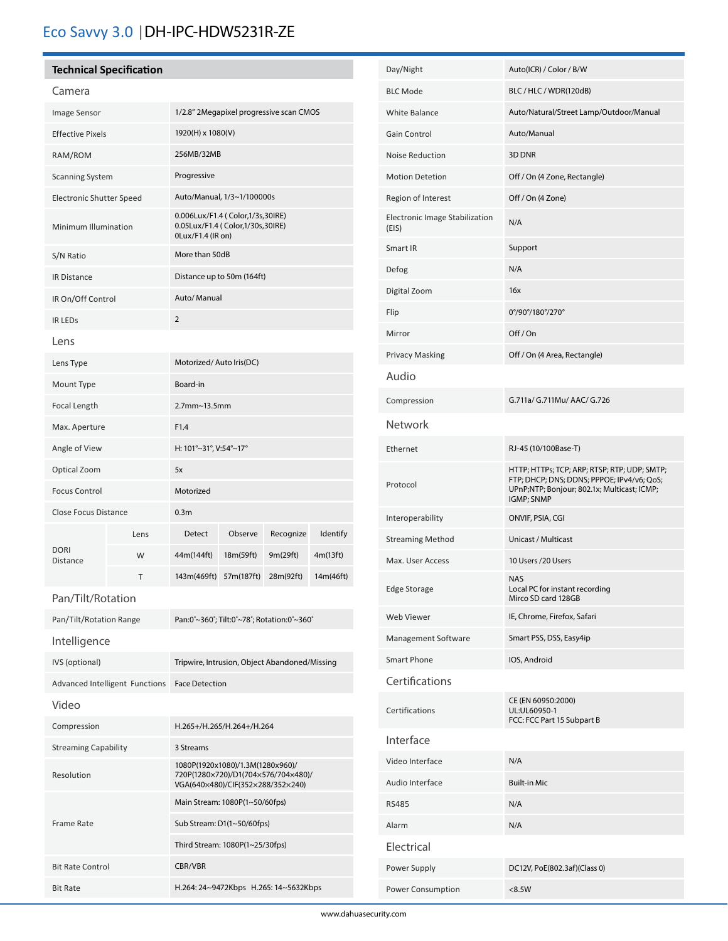# Eco Savvy 3.0 |DH-IPC-HDW5231R-ZE

### **Technical Specification**

֦֚

| Image Sensor                    |      | 1/2.8" 2Megapixel progressive scan CMOS                                                                      |            |           |           |
|---------------------------------|------|--------------------------------------------------------------------------------------------------------------|------------|-----------|-----------|
| <b>Effective Pixels</b>         |      | 1920(H) x 1080(V)                                                                                            |            |           |           |
| RAM/ROM                         |      | 256MB/32MB                                                                                                   |            |           |           |
| <b>Scanning System</b>          |      | Progressive                                                                                                  |            |           |           |
| <b>Electronic Shutter Speed</b> |      | Auto/Manual, 1/3~1/100000s                                                                                   |            |           |           |
| Minimum Illumination            |      | 0.006Lux/F1.4 (Color,1/3s,30IRE)<br>0.05Lux/F1.4 (Color,1/30s,30IRE)<br>0Lux/F1.4 (IR on)                    |            |           |           |
| S/N Ratio                       |      | More than 50dB                                                                                               |            |           |           |
| <b>IR Distance</b>              |      | Distance up to 50m (164ft)                                                                                   |            |           |           |
| IR On/Off Control               |      | Auto/ Manual                                                                                                 |            |           |           |
| <b>IR LEDS</b>                  |      | 2                                                                                                            |            |           |           |
| Lens                            |      |                                                                                                              |            |           |           |
| Lens Type                       |      | Motorized/Auto Iris(DC)                                                                                      |            |           |           |
| Mount Type                      |      | Board-in                                                                                                     |            |           |           |
| Focal Length                    |      | 2.7mm~13.5mm                                                                                                 |            |           |           |
| Max. Aperture                   |      | F1.4                                                                                                         |            |           |           |
| Angle of View                   |      | H: 101°~31°, V:54°~17°                                                                                       |            |           |           |
| Optical Zoom                    |      | 5x                                                                                                           |            |           |           |
| <b>Focus Control</b>            |      | Motorized                                                                                                    |            |           |           |
| <b>Close Focus Distance</b>     |      | 0.3 <sub>m</sub>                                                                                             |            |           |           |
|                                 | Lens | Detect                                                                                                       | Observe    | Recognize | Identify  |
| <b>DORI</b><br>Distance         | W    | 44m(144ft)                                                                                                   | 18m(59ft)  | 9m(29ft)  | 4m(13ft)  |
|                                 | т    | 143m(469ft)                                                                                                  | 57m(187ft) | 28m(92ft) | 14m(46ft) |
| Pan/Tilt/Rotation               |      |                                                                                                              |            |           |           |
| Pan/Tilt/Rotation Range         |      | Pan:0°~360°; Tilt:0°~78°; Rotation:0°~360°                                                                   |            |           |           |
| Intelligence                    |      |                                                                                                              |            |           |           |
| IVS (optional)                  |      | Tripwire, Intrusion, Object Abandoned/Missing                                                                |            |           |           |
| Advanced Intelligent Functions  |      | <b>Face Detection</b>                                                                                        |            |           |           |
| Video                           |      |                                                                                                              |            |           |           |
| Compression                     |      | H.265+/H.265/H.264+/H.264                                                                                    |            |           |           |
| <b>Streaming Capability</b>     |      | 3 Streams                                                                                                    |            |           |           |
| Resolution                      |      | 1080P(1920x1080)/1.3M(1280x960)/<br>720P(1280×720)/D1(704×576/704×480)/<br>VGA(640×480)/CIF(352×288/352×240) |            |           |           |
| <b>Frame Rate</b>               |      | Main Stream: 1080P(1~50/60fps)                                                                               |            |           |           |
|                                 |      | Sub Stream: D1(1~50/60fps)                                                                                   |            |           |           |
|                                 |      | Third Stream: 1080P(1~25/30fps)                                                                              |            |           |           |
| <b>Bit Rate Control</b>         |      | CBR/VBR                                                                                                      |            |           |           |
| <b>Bit Rate</b>                 |      | H.264: 24~9472Kbps H.265: 14~5632Kbps                                                                        |            |           |           |

| Day/Night                               | Auto(ICR) / Color / B/W                                                                                                                                 |  |  |  |
|-----------------------------------------|---------------------------------------------------------------------------------------------------------------------------------------------------------|--|--|--|
| <b>BLC Mode</b>                         | BLC / HLC / WDR(120dB)                                                                                                                                  |  |  |  |
| White Balance                           | Auto/Natural/Street Lamp/Outdoor/Manual                                                                                                                 |  |  |  |
| Gain Control                            | Auto/Manual                                                                                                                                             |  |  |  |
| Noise Reduction                         | 3D DNR                                                                                                                                                  |  |  |  |
| <b>Motion Detetion</b>                  | Off / On (4 Zone, Rectangle)                                                                                                                            |  |  |  |
| Region of Interest                      | Off / On (4 Zone)                                                                                                                                       |  |  |  |
| Electronic Image Stabilization<br>(EIS) | N/A                                                                                                                                                     |  |  |  |
| Smart IR                                | Support                                                                                                                                                 |  |  |  |
| Defog                                   | N/A                                                                                                                                                     |  |  |  |
| Digital Zoom                            | 16x                                                                                                                                                     |  |  |  |
| Flip                                    | 0°/90°/180°/270°                                                                                                                                        |  |  |  |
| Mirror                                  | Off/On                                                                                                                                                  |  |  |  |
| <b>Privacy Masking</b>                  | Off / On (4 Area, Rectangle)                                                                                                                            |  |  |  |
| Audio                                   |                                                                                                                                                         |  |  |  |
| Compression                             | G.711a/ G.711Mu/ AAC/ G.726                                                                                                                             |  |  |  |
| Network                                 |                                                                                                                                                         |  |  |  |
| Ethernet                                | RJ-45 (10/100Base-T)                                                                                                                                    |  |  |  |
| Protocol                                | HTTP; HTTPs; TCP; ARP; RTSP; RTP; UDP; SMTP;<br>FTP; DHCP; DNS; DDNS; PPPOE; IPv4/v6; QoS;<br>UPnP;NTP; Bonjour; 802.1x; Multicast; ICMP;<br>IGMP; SNMP |  |  |  |
| Interoperability                        | ONVIF, PSIA, CGI                                                                                                                                        |  |  |  |
| <b>Streaming Method</b>                 | Unicast / Multicast                                                                                                                                     |  |  |  |
| Max. User Access                        | 10 Users /20 Users                                                                                                                                      |  |  |  |
| <b>Edge Storage</b>                     | <b>NAS</b><br>Local PC for instant recording<br>Mirco SD card 128GB                                                                                     |  |  |  |
| Web Viewer                              | IE, Chrome, Firefox, Safari                                                                                                                             |  |  |  |
| Management Software                     | Smart PSS, DSS, Easy4ip                                                                                                                                 |  |  |  |
| Smart Phone                             | IOS, Android                                                                                                                                            |  |  |  |
| Certifications                          |                                                                                                                                                         |  |  |  |
| Certifications                          | CE (EN 60950:2000)<br>UL:UL60950-1<br>FCC: FCC Part 15 Subpart B                                                                                        |  |  |  |
| Interface                               |                                                                                                                                                         |  |  |  |
| Video Interface                         | N/A                                                                                                                                                     |  |  |  |
| Audio Interface                         | <b>Built-in Mic</b>                                                                                                                                     |  |  |  |
| <b>RS485</b>                            | N/A                                                                                                                                                     |  |  |  |
| Alarm                                   | N/A                                                                                                                                                     |  |  |  |
| Electrical                              |                                                                                                                                                         |  |  |  |
| Power Supply                            | DC12V, PoE(802.3af)(Class 0)                                                                                                                            |  |  |  |
| Power Consumption                       | < 8.5W                                                                                                                                                  |  |  |  |